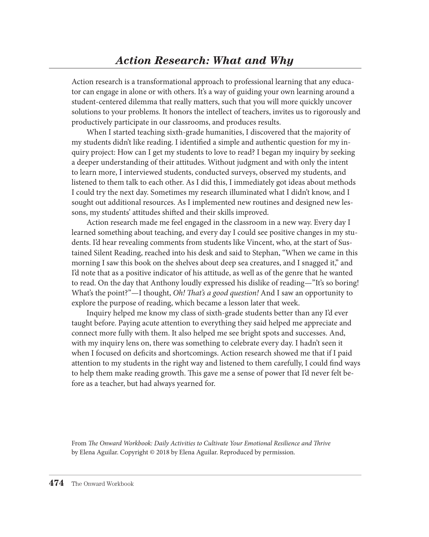Action research is a transformational approach to professional learning that any educator can engage in alone or with others. It's a way of guiding your own learning around a student-centered dilemma that really matters, such that you will more quickly uncover solutions to your problems. It honors the intellect of teachers, invites us to rigorously and productively participate in our classrooms, and produces results.

When I started teaching sixth-grade humanities, I discovered that the majority of my students didn't like reading. I identified a simple and authentic question for my inquiry project: How can I get my students to love to read? I began my inquiry by seeking a deeper understanding of their attitudes. Without judgment and with only the intent to learn more, I interviewed students, conducted surveys, observed my students, and listened to them talk to each other. As I did this, I immediately got ideas about methods I could try the next day. Sometimes my research illuminated what I didn't know, and I sought out additional resources. As I implemented new routines and designed new lessons, my students' attitudes shifted and their skills improved.

Action research made me feel engaged in the classroom in a new way. Every day I learned something about teaching, and every day I could see positive changes in my students. I'd hear revealing comments from students like Vincent, who, at the start of Sustained Silent Reading, reached into his desk and said to Stephan, "When we came in this morning I saw this book on the shelves about deep sea creatures, and I snagged it," and I'd note that as a positive indicator of his attitude, as well as of the genre that he wanted to read. On the day that Anthony loudly expressed his dislike of reading—"It's so boring! What's the point?"—I thought, *Oh! That's a good question!* And I saw an opportunity to explore the purpose of reading, which became a lesson later that week.

Inquiry helped me know my class of sixth-grade students better than any I'd ever taught before. Paying acute attention to everything they said helped me appreciate and connect more fully with them. It also helped me see bright spots and successes. And, with my inquiry lens on, there was something to celebrate every day. I hadn't seen it when I focused on deficits and shortcomings. Action research showed me that if I paid attention to my students in the right way and listened to them carefully, I could find ways to help them make reading growth. This gave me a sense of power that I'd never felt before as a teacher, but had always yearned for.

From *The Onward Workbook: Daily Activities to Cultivate Your Emotional Resilience and Thrive* by Elena Aguilar. Copyright © 2018 by Elena Aguilar. Reproduced by permission.